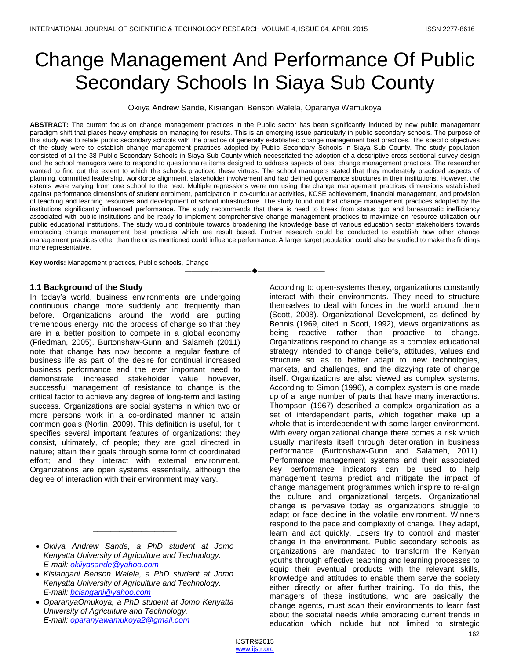# Change Management And Performance Of Public Secondary Schools In Siaya Sub County

Okiiya Andrew Sande, Kisiangani Benson Walela, Oparanya Wamukoya

**ABSTRACT:** The current focus on change management practices in the Public sector has been significantly induced by new public management paradigm shift that places heavy emphasis on managing for results. This is an emerging issue particularly in public secondary schools. The purpose of this study was to relate public secondary schools with the practice of generally established change management best practices. The specific objectives of the study were to establish change management practices adopted by Public Secondary Schools in Siaya Sub County. The study population consisted of all the 38 Public Secondary Schools in Siaya Sub County which necessitated the adoption of a descriptive cross-sectional survey design and the school managers were to respond to questionnaire items designed to address aspects of best change management practices. The researcher wanted to find out the extent to which the schools practiced these virtues. The school managers stated that they moderately practiced aspects of planning, committed leadership, workforce alignment, stakeholder involvement and had defined governance structures in their institutions. However, the extents were varying from one school to the next. Multiple regressions were run using the change management practices dimensions established against performance dimensions of student enrolment, participation in co-curricular activities, KCSE achievement, financial management, and provision of teaching and learning resources and development of school infrastructure. The study found out that change management practices adopted by the institutions significantly influenced performance. The study recommends that there is need to break from status quo and bureaucratic inefficiency associated with public institutions and be ready to implement comprehensive change management practices to maximize on resource utilization our public educational institutions. The study would contribute towards broadening the knowledge base of various education sector stakeholders towards embracing change management best practices which are result based. Further research could be conducted to establish how other change management practices other than the ones mentioned could influence performance. A larger target population could also be studied to make the findings more representative.

————————————————————

**Key words:** Management practices, Public schools, Change

#### **1.1 Background of the Study**

In today's world, business environments are undergoing continuous change more suddenly and frequently than before. Organizations around the world are putting tremendous energy into the process of change so that they are in a better position to compete in a global economy (Friedman, 2005). Burtonshaw-Gunn and Salameh (2011) note that change has now become a regular feature of business life as part of the desire for continual increased business performance and the ever important need to demonstrate increased stakeholder value however, successful management of resistance to change is the critical factor to achieve any degree of long-term and lasting success. Organizations are social systems in which two or more persons work in a co-ordinated manner to attain common goals (Norlin, 2009). This definition is useful, for it specifies several important features of organizations: they consist, ultimately, of people; they are goal directed in nature; attain their goals through some form of coordinated effort; and they interact with external environment. Organizations are open systems essentially, although the degree of interaction with their environment may vary.

\_\_\_\_\_\_\_\_\_\_\_\_\_\_\_\_\_\_\_

- *Kisiangani Benson Walela, a PhD student at Jomo Kenyatta University of Agriculture and Technology. E-mail: [bciangani@yahoo.com](mailto:bciangani@yahoo.com)*
- *OparanyaOmukoya, a PhD student at Jomo Kenyatta University of Agriculture and Technology. E-mail: [oparanyawamukoya2@gmail.com](mailto:oparanyawamukoya2@gmail.com)*

According to open-systems theory, organizations constantly interact with their environments. They need to structure themselves to deal with forces in the world around them (Scott, 2008). Organizational Development, as defined by Bennis (1969, cited in Scott, 1992), views organizations as being reactive rather than proactive to change. Organizations respond to change as a complex educational strategy intended to change beliefs, attitudes, values and structure so as to better adapt to new technologies, markets, and challenges, and the dizzying rate of change itself. Organizations are also viewed as complex systems. According to Simon (1996), a complex system is one made up of a large number of parts that have many interactions. Thompson (1967) described a complex organization as a set of interdependent parts, which together make up a whole that is interdependent with some larger environment. With every organizational change there comes a risk which usually manifests itself through deterioration in business performance (Burtonshaw-Gunn and Salameh, 2011). Performance management systems and their associated key performance indicators can be used to help management teams predict and mitigate the impact of change management programmes which inspire to re-align the culture and organizational targets. Organizational change is pervasive today as organizations struggle to adapt or face decline in the volatile environment. Winners respond to the pace and complexity of change. They adapt, learn and act quickly. Losers try to control and master change in the environment. Public secondary schools as organizations are mandated to transform the Kenyan youths through effective teaching and learning processes to equip their eventual products with the relevant skills, knowledge and attitudes to enable them serve the society either directly or after further training. To do this, the managers of these institutions, who are basically the change agents, must scan their environments to learn fast about the societal needs while embracing current trends in education which include but not limited to strategic

*Okiiya Andrew Sande, a PhD student at Jomo Kenyatta University of Agriculture and Technology. E-mail: [okiiyasande@yahoo.com](mailto:okiiyasande@yahoo.com)*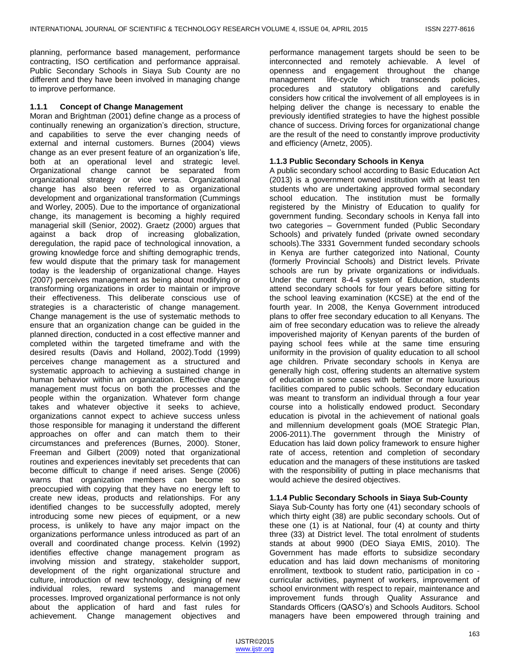planning, performance based management, performance contracting, ISO certification and performance appraisal. Public Secondary Schools in Siaya Sub County are no different and they have been involved in managing change to improve performance.

#### **1.1.1 Concept of Change Management**

Moran and Brightman (2001) define change as a process of continually renewing an organization's direction, structure, and capabilities to serve the ever changing needs of external and internal customers. Burnes (2004) views change as an ever present feature of an organization's life, both at an operational level and strategic level. Organizational change cannot be separated from organizational strategy or vice versa. Organizational change has also been referred to as organizational development and organizational transformation (Cummings and Worley, 2005). Due to the importance of organizational change, its management is becoming a highly required managerial skill (Senior, 2002). Graetz (2000) argues that against a back drop of increasing globalization, deregulation, the rapid pace of technological innovation, a growing knowledge force and shifting demographic trends, few would dispute that the primary task for management today is the leadership of organizational change. Hayes (2007) perceives management as being about modifying or transforming organizations in order to maintain or improve their effectiveness. This deliberate conscious use of strategies is a characteristic of change management. Change management is the use of systematic methods to ensure that an organization change can be guided in the planned direction, conducted in a cost effective manner and completed within the targeted timeframe and with the desired results (Davis and Holland, 2002).Todd (1999) perceives change management as a structured and systematic approach to achieving a sustained change in human behavior within an organization. Effective change management must focus on both the processes and the people within the organization. Whatever form change takes and whatever objective it seeks to achieve, organizations cannot expect to achieve success unless those responsible for managing it understand the different approaches on offer and can match them to their circumstances and preferences (Burnes, 2000). Stoner, Freeman and Gilbert (2009) noted that organizational routines and experiences inevitably set precedents that can become difficult to change if need arises. Senge (2006) warns that organization members can become so preoccupied with copying that they have no energy left to create new ideas, products and relationships. For any identified changes to be successfully adopted, merely introducing some new pieces of equipment, or a new process, is unlikely to have any major impact on the organizations performance unless introduced as part of an overall and coordinated change process. Kelvin (1992) identifies effective change management program as involving mission and strategy, stakeholder support, development of the right organizational structure and culture, introduction of new technology, designing of new individual roles, reward systems and management processes. Improved organizational performance is not only about the application of hard and fast rules for achievement. Change management objectives and

performance management targets should be seen to be interconnected and remotely achievable. A level of openness and engagement throughout the change management life-cycle which transcends policies, procedures and statutory obligations and carefully considers how critical the involvement of all employees is in helping deliver the change is necessary to enable the previously identified strategies to have the highest possible chance of success. Driving forces for organizational change are the result of the need to constantly improve productivity and efficiency (Arnetz, 2005).

# **1.1.3 Public Secondary Schools in Kenya**

A public secondary school according to Basic Education Act (2013) is a government owned institution with at least ten students who are undertaking approved formal secondary school education. The institution must be formally registered by the Ministry of Education to qualify for government funding. Secondary schools in Kenya fall into two categories – Government funded (Public Secondary Schools) and privately funded (private owned secondary schools).The 3331 Government funded secondary schools in Kenya are further categorized into National, County (formerly Provincial Schools) and District levels. Private schools are run by private organizations or individuals. Under the current 8-4-4 system of Education, students attend secondary schools for four years before sitting for the school leaving examination (KCSE) at the end of the fourth year. In 2008, the Kenya Government introduced plans to offer free secondary education to all Kenyans. The aim of free secondary education was to relieve the already impoverished majority of Kenyan parents of the burden of paying school fees while at the same time ensuring uniformity in the provision of quality education to all school age children. Private secondary schools in Kenya are generally high cost, offering students an alternative system of education in some cases with better or more luxurious facilities compared to public schools. Secondary education was meant to transform an individual through a four year course into a holistically endowed product. Secondary education is pivotal in the achievement of national goals and millennium development goals (MOE Strategic Plan, 2006-2011).The government through the Ministry of Education has laid down policy framework to ensure higher rate of access, retention and completion of secondary education and the managers of these institutions are tasked with the responsibility of putting in place mechanisms that would achieve the desired objectives.

# **1.1.4 Public Secondary Schools in Siaya Sub-County**

Siaya Sub-County has forty one (41) secondary schools of which thirty eight (38) are public secondary schools. Out of these one (1) is at National, four (4) at county and thirty three (33) at District level. The total enrolment of students stands at about 9900 (DEO Siaya EMIS, 2010). The Government has made efforts to subsidize secondary education and has laid down mechanisms of monitoring enrollment, textbook to student ratio, participation in co curricular activities, payment of workers, improvement of school environment with respect to repair, maintenance and improvement funds through Quality Assurance and Standards Officers (QASO's) and Schools Auditors. School managers have been empowered through training and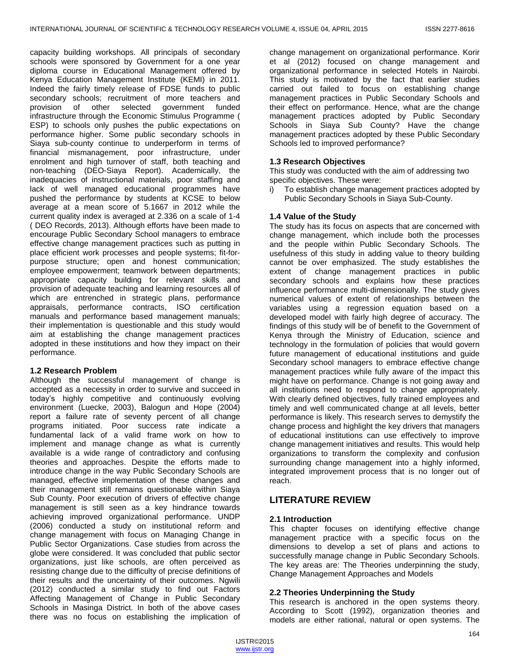capacity building workshops. All principals of secondary schools were sponsored by Government for a one year diploma course in Educational Management offered by Kenya Education Management Institute (KEMI) in 2011. Indeed the fairly timely release of FDSE funds to public secondary schools; recruitment of more teachers and provision of other selected government funded infrastructure through the Economic Stimulus Programme ( ESP) to schools only pushes the public expectations on performance higher. Some public secondary schools in Siaya sub-county continue to underperform in terms of financial mismanagement, poor infrastructure, under enrolment and high turnover of staff, both teaching and non-teaching (DEO-Siaya Report). Academically, the inadequacies of instructional materials, poor staffing and lack of well managed educational programmes have pushed the performance by students at KCSE to below average at a mean score of 5.1667 in 2012 while the current quality index is averaged at 2.336 on a scale of 1-4 ( DEO Records, 2013). Although efforts have been made to encourage Public Secondary School managers to embrace effective change management practices such as putting in place efficient work processes and people systems; fit-forpurpose structure; open and honest communication; employee empowerment; teamwork between departments; appropriate capacity building for relevant skills and provision of adequate teaching and learning resources all of which are entrenched in strategic plans, performance appraisals, performance contracts, ISO certification manuals and performance based management manuals; their implementation is questionable and this study would aim at establishing the change management practices adopted in these institutions and how they impact on their performance.

# **1.2 Research Problem**

Although the successful management of change is accepted as a necessity in order to survive and succeed in today's highly competitive and continuously evolving environment (Luecke, 2003), Balogun and Hope (2004) report a failure rate of seventy percent of all change programs initiated. Poor success rate indicate a fundamental lack of a valid frame work on how to implement and manage change as what is currently available is a wide range of contradictory and confusing theories and approaches. Despite the efforts made to introduce change in the way Public Secondary Schools are managed, effective implementation of these changes and their management still remains questionable within Siaya Sub County. Poor execution of drivers of effective change management is still seen as a key hindrance towards achieving improved organizational performance. UNDP (2006) conducted a study on institutional reform and change management with focus on Managing Change in Public Sector Organizations. Case studies from across the globe were considered. It was concluded that public sector organizations, just like schools, are often perceived as resisting change due to the difficulty of precise definitions of their results and the uncertainty of their outcomes. Ngwili (2012) conducted a similar study to find out Factors Affecting Management of Change in Public Secondary Schools in Masinga District. In both of the above cases there was no focus on establishing the implication of

change management on organizational performance. Korir et al (2012) focused on change management and organizational performance in selected Hotels in Nairobi. This study is motivated by the fact that earlier studies carried out failed to focus on establishing change management practices in Public Secondary Schools and their effect on performance. Hence, what are the change management practices adopted by Public Secondary Schools in Siaya Sub County? Have the change management practices adopted by these Public Secondary Schools led to improved performance?

# **1.3 Research Objectives**

This study was conducted with the aim of addressing two specific objectives. These were:

i) To establish change management practices adopted by Public Secondary Schools in Siaya Sub-County.

# **1.4 Value of the Study**

The study has its focus on aspects that are concerned with change management, which include both the processes and the people within Public Secondary Schools. The usefulness of this study in adding value to theory building cannot be over emphasized. The study establishes the extent of change management practices in public secondary schools and explains how these practices influence performance multi-dimensionally. The study gives numerical values of extent of relationships between the variables using a regression equation based on a developed model with fairly high degree of accuracy. The findings of this study will be of benefit to the Government of Kenya through the Ministry of Education, science and technology in the formulation of policies that would govern future management of educational institutions and guide Secondary school managers to embrace effective change management practices while fully aware of the impact this might have on performance. Change is not going away and all institutions need to respond to change appropriately. With clearly defined objectives, fully trained employees and timely and well communicated change at all levels, better performance is likely. This research serves to demystify the change process and highlight the key drivers that managers of educational institutions can use effectively to improve change management initiatives and results. This would help organizations to transform the complexity and confusion surrounding change management into a highly informed, integrated improvement process that is no longer out of reach.

# **LITERATURE REVIEW**

#### **2.1 Introduction**

This chapter focuses on identifying effective change management practice with a specific focus on the dimensions to develop a set of plans and actions to successfully manage change in Public Secondary Schools. The key areas are: The Theories underpinning the study, Change Management Approaches and Models

# **2.2 Theories Underpinning the Study**

This research is anchored in the open systems theory. According to Scott (1992), organization theories and models are either rational, natural or open systems. The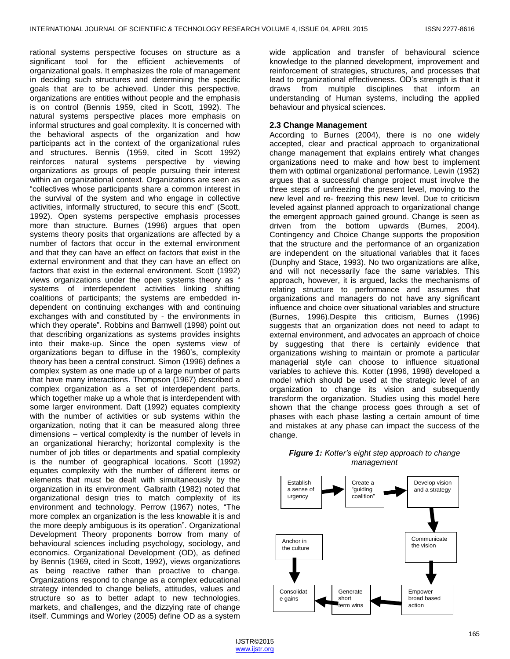rational systems perspective focuses on structure as a significant tool for the efficient achievements of organizational goals. It emphasizes the role of management in deciding such structures and determining the specific goals that are to be achieved. Under this perspective, organizations are entities without people and the emphasis is on control (Bennis 1959, cited in Scott, 1992). The natural systems perspective places more emphasis on informal structures and goal complexity. It is concerned with the behavioral aspects of the organization and how participants act in the context of the organizational rules and structures. Bennis (1959, cited in Scott 1992) reinforces natural systems perspective by viewing organizations as groups of people pursuing their interest within an organizational context. Organizations are seen as ―collectives whose participants share a common interest in the survival of the system and who engage in collective activities, informally structured, to secure this end" (Scott, 1992). Open systems perspective emphasis processes more than structure. Burnes (1996) argues that open systems theory posits that organizations are affected by a number of factors that occur in the external environment and that they can have an effect on factors that exist in the external environment and that they can have an effect on factors that exist in the external environment. Scott (1992) views organizations under the open systems theory as " systems of interdependent activities linking shifting coalitions of participants; the systems are embedded independent on continuing exchanges with and continuing exchanges with and constituted by - the environments in which they operate". Robbins and Barnwell (1998) point out that describing organizations as systems provides insights into their make-up. Since the open systems view of organizations began to diffuse in the 1960's, complexity theory has been a central construct. Simon (1996) defines a complex system as one made up of a large number of parts that have many interactions. Thompson (1967) described a complex organization as a set of interdependent parts, which together make up a whole that is interdependent with some larger environment. Daft (1992) equates complexity with the number of activities or sub systems within the organization, noting that it can be measured along three dimensions – vertical complexity is the number of levels in an organizational hierarchy; horizontal complexity is the number of job titles or departments and spatial complexity is the number of geographical locations. Scott (1992) equates complexity with the number of different items or elements that must be dealt with simultaneously by the organization in its environment. Galbraith (1982) noted that organizational design tries to match complexity of its environment and technology. Perrow (1967) notes, "The more complex an organization is the less knowable it is and the more deeply ambiguous is its operation". Organizational Development Theory proponents borrow from many of behavioural sciences including psychology, sociology, and economics. Organizational Development (OD), as defined by Bennis (1969, cited in Scott, 1992), views organizations as being reactive rather than proactive to change. Organizations respond to change as a complex educational strategy intended to change beliefs, attitudes, values and structure so as to better adapt to new technologies, markets, and challenges, and the dizzying rate of change itself. Cummings and Worley (2005) define OD as a system

wide application and transfer of behavioural science knowledge to the planned development, improvement and reinforcement of strategies, structures, and processes that lead to organizational effectiveness. OD's strength is that it draws from multiple disciplines that inform an understanding of Human systems, including the applied behaviour and physical sciences.

#### **2.3 Change Management**

According to Burnes (2004), there is no one widely accepted, clear and practical approach to organizational change management that explains entirely what changes organizations need to make and how best to implement them with optimal organizational performance. Lewin (1952) argues that a successful change project must involve the three steps of unfreezing the present level, moving to the new level and re- freezing this new level. Due to criticism leveled against planned approach to organizational change the emergent approach gained ground. Change is seen as driven from the bottom upwards (Burnes, 2004). Contingency and Choice Change supports the proposition that the structure and the performance of an organization are independent on the situational variables that it faces (Dunphy and Stace, 1993). No two organizations are alike, and will not necessarily face the same variables. This approach, however, it is argued, lacks the mechanisms of relating structure to performance and assumes that organizations and managers do not have any significant influence and choice over situational variables and structure (Burnes, 1996).Despite this criticism, Burnes (1996) suggests that an organization does not need to adapt to external environment, and advocates an approach of choice by suggesting that there is certainly evidence that organizations wishing to maintain or promote a particular managerial style can choose to influence situational variables to achieve this. Kotter (1996, 1998) developed a model which should be used at the strategic level of an organization to change its vision and subsequently transform the organization. Studies using this model here shown that the change process goes through a set of phases with each phase lasting a certain amount of time and mistakes at any phase can impact the success of the change.



# *Figure 1: Kotter's eight step approach to change management*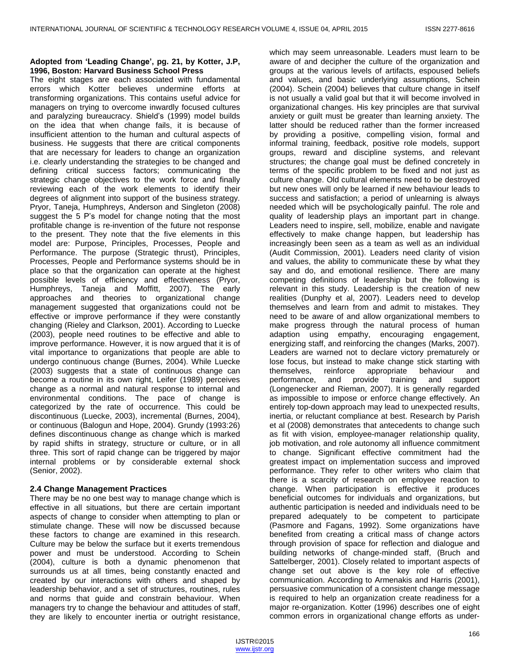## **Adopted from 'Leading Change', pg. 21, by Kotter, J.P, 1996, Boston: Harvard Business School Press**

The eight stages are each associated with fundamental errors which Kotter believes undermine efforts at transforming organizations. This contains useful advice for managers on trying to overcome inwardly focused cultures and paralyzing bureaucracy. Shield's (1999) model builds on the idea that when change fails, it is because of insufficient attention to the human and cultural aspects of business. He suggests that there are critical components that are necessary for leaders to change an organization i.e. clearly understanding the strategies to be changed and defining critical success factors; communicating the strategic change objectives to the work force and finally reviewing each of the work elements to identify their degrees of alignment into support of the business strategy. Pryor, Taneja, Humphreys, Anderson and Singleton (2008) suggest the 5 P's model for change noting that the most profitable change is re-invention of the future not response to the present. They note that the five elements in this model are: Purpose, Principles, Processes, People and Performance. The purpose (Strategic thrust), Principles, Processes, People and Performance systems should be in place so that the organization can operate at the highest possible levels of efficiency and effectiveness (Pryor, Humphreys, Taneja and Moffitt, 2007). The early approaches and theories to organizational change management suggested that organizations could not be effective or improve performance if they were constantly changing (Rieley and Clarkson, 2001). According to Luecke (2003), people need routines to be effective and able to improve performance. However, it is now argued that it is of vital importance to organizations that people are able to undergo continuous change (Burnes, 2004). While Luecke (2003) suggests that a state of continuous change can become a routine in its own right, Leifer (1989) perceives change as a normal and natural response to internal and environmental conditions. The pace of change is categorized by the rate of occurrence. This could be discontinuous (Luecke, 2003), incremental (Burnes, 2004), or continuous (Balogun and Hope, 2004). Grundy (1993:26) defines discontinuous change as change which is marked by rapid shifts in strategy, structure or culture, or in all three. This sort of rapid change can be triggered by major internal problems or by considerable external shock (Senior, 2002).

# **2.4 Change Management Practices**

There may be no one best way to manage change which is effective in all situations, but there are certain important aspects of change to consider when attempting to plan or stimulate change. These will now be discussed because these factors to change are examined in this research. Culture may be below the surface but it exerts tremendous power and must be understood. According to Schein (2004), culture is both a dynamic phenomenon that surrounds us at all times, being constantly enacted and created by our interactions with others and shaped by leadership behavior, and a set of structures, routines, rules and norms that guide and constrain behaviour. When managers try to change the behaviour and attitudes of staff, they are likely to encounter inertia or outright resistance,

which may seem unreasonable. Leaders must learn to be aware of and decipher the culture of the organization and groups at the various levels of artifacts, espoused beliefs and values, and basic underlying assumptions, Schein (2004). Schein (2004) believes that culture change in itself is not usually a valid goal but that it will become involved in organizational changes. His key principles are that survival anxiety or guilt must be greater than learning anxiety. The latter should be reduced rather than the former increased by providing a positive, compelling vision, formal and informal training, feedback, positive role models, support groups, reward and discipline systems, and relevant structures; the change goal must be defined concretely in terms of the specific problem to be fixed and not just as culture change. Old cultural elements need to be destroyed but new ones will only be learned if new behaviour leads to success and satisfaction; a period of unlearning is always needed which will be psychologically painful. The role and quality of leadership plays an important part in change. Leaders need to inspire, sell, mobilize, enable and navigate effectively to make change happen, but leadership has increasingly been seen as a team as well as an individual (Audit Commission, 2001). Leaders need clarity of vision and values, the ability to communicate these by what they say and do, and emotional resilience. There are many competing definitions of leadership but the following is relevant in this study. Leadership is the creation of new realities (Dunphy et al, 2007). Leaders need to develop themselves and learn from and admit to mistakes. They need to be aware of and allow organizational members to make progress through the natural process of human adaption using empathy, encouraging engagement, energizing staff, and reinforcing the changes (Marks, 2007). Leaders are warned not to declare victory prematurely or lose focus, but instead to make change stick starting with themselves, reinforce appropriate behaviour and performance, and provide training and support (Longenecker and Rieman, 2007). It is generally regarded as impossible to impose or enforce change effectively. An entirely top-down approach may lead to unexpected results, inertia, or reluctant compliance at best. Research by Parish et al (2008) demonstrates that antecedents to change such as fit with vision, employee-manager relationship quality, job motivation, and role autonomy all influence commitment to change. Significant effective commitment had the greatest impact on implementation success and improved performance. They refer to other writers who claim that there is a scarcity of research on employee reaction to change. When participation is effective it produces beneficial outcomes for individuals and organizations, but authentic participation is needed and individuals need to be prepared adequately to be competent to participate (Pasmore and Fagans, 1992). Some organizations have benefited from creating a critical mass of change actors through provision of space for reflection and dialogue and building networks of change-minded staff, (Bruch and Sattelberger, 2001). Closely related to important aspects of change set out above is the key role of effective communication. According to Armenakis and Harris (2001), persuasive communication of a consistent change message is required to help an organization create readiness for a major re-organization. Kotter (1996) describes one of eight common errors in organizational change efforts as under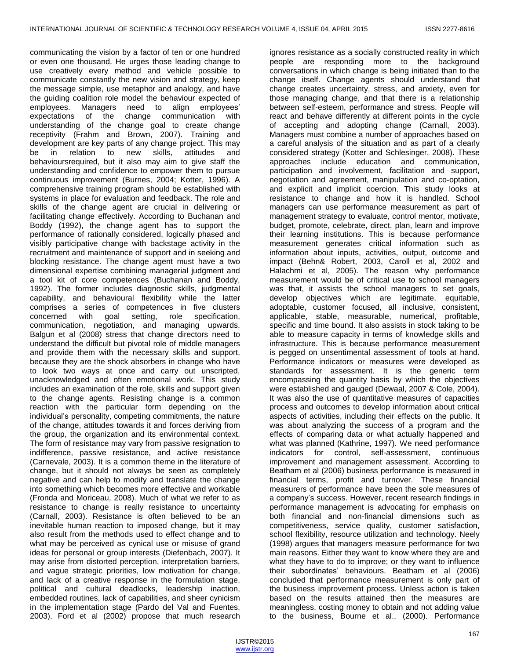communicating the vision by a factor of ten or one hundred or even one thousand. He urges those leading change to use creatively every method and vehicle possible to communicate constantly the new vision and strategy, keep the message simple, use metaphor and analogy, and have the guiding coalition role model the behaviour expected of employees. Managers need to align employees' expectations of the change communication with understanding of the change goal to create change receptivity (Frahm and Brown, 2007). Training and development are key parts of any change project. This may be in relation to new skills, attitudes and behavioursrequired, but it also may aim to give staff the understanding and confidence to empower them to pursue continuous improvement (Burnes, 2004; Kotter, 1996). A comprehensive training program should be established with systems in place for evaluation and feedback. The role and skills of the change agent are crucial in delivering or facilitating change effectively. According to Buchanan and Boddy (1992), the change agent has to support the performance of rationally considered, logically phased and visibly participative change with backstage activity in the recruitment and maintenance of support and in seeking and blocking resistance. The change agent must have a two dimensional expertise combining managerial judgment and a tool kit of core competences (Buchanan and Boddy, 1992). The former includes diagnostic skills, judgmental capability, and behavioural flexibility while the latter comprises a series of competences in five clusters concerned with goal setting, role specification, communication, negotiation, and managing upwards. Balgun et al (2008) stress that change directors need to understand the difficult but pivotal role of middle managers and provide them with the necessary skills and support, because they are the shock absorbers in change who have to look two ways at once and carry out unscripted, unacknowledged and often emotional work. This study includes an examination of the role, skills and support given to the change agents. Resisting change is a common reaction with the particular form depending on the individual's personality, competing commitments, the nature of the change, attitudes towards it and forces deriving from the group, the organization and its environmental context. The form of resistance may vary from passive resignation to indifference, passive resistance, and active resistance (Carnevale, 2003). It is a common theme in the literature of change, but it should not always be seen as completely negative and can help to modify and translate the change into something which becomes more effective and workable (Fronda and Moriceau, 2008). Much of what we refer to as resistance to change is really resistance to uncertainty (Carnall, 2003). Resistance is often believed to be an inevitable human reaction to imposed change, but it may also result from the methods used to effect change and to what may be perceived as cynical use or misuse of grand ideas for personal or group interests (Diefenbach, 2007). It may arise from distorted perception, interpretation barriers, and vague strategic priorities, low motivation for change, and lack of a creative response in the formulation stage, political and cultural deadlocks, leadership inaction, embedded routines, lack of capabilities, and sheer cynicism in the implementation stage (Pardo del Val and Fuentes, 2003). Ford et al (2002) propose that much research

ignores resistance as a socially constructed reality in which people are responding more to the background conversations in which change is being initiated than to the change itself. Change agents should understand that change creates uncertainty, stress, and anxiety, even for those managing change, and that there is a relationship between self-esteem, performance and stress. People will react and behave differently at different points in the cycle of accepting and adopting change (Carnall, 2003). Managers must combine a number of approaches based on a careful analysis of the situation and as part of a clearly considered strategy (Kotter and Schlesinger, 2008). These approaches include education and communication, participation and involvement, facilitation and support, negotiation and agreement, manipulation and co-optation, and explicit and implicit coercion. This study looks at resistance to change and how it is handled. School managers can use performance measurement as part of management strategy to evaluate, control mentor, motivate, budget, promote, celebrate, direct, plan, learn and improve their learning institutions. This is because performance measurement generates critical information such as information about inputs, activities, output, outcome and impact (Behn& Robert, 2003, Caroll et al, 2002 and Halachmi et al, 2005). The reason why performance measurement would be of critical use to school managers was that, it assists the school managers to set goals, develop objectives which are legitimate, equitable, adoptable, customer focused, all inclusive, consistent, applicable, stable, measurable, numerical, profitable, specific and time bound. It also assists in stock taking to be able to measure capacity in terms of knowledge skills and infrastructure. This is because performance measurement is pegged on unsentimental assessment of tools at hand. Performance indicators or measures were developed as standards for assessment. It is the generic term encompassing the quantity basis by which the objectives were established and gauged (Dewaal, 2007 & Cole, 2004). It was also the use of quantitative measures of capacities process and outcomes to develop information about critical aspects of activities, including their effects on the public. It was about analyzing the success of a program and the effects of comparing data or what actually happened and what was planned (Kathrine, 1997). We need performance indicators for control, self-assessment, continuous improvement and management assessment. According to Beatham et al (2006) business performance is measured in financial terms, profit and turnover. These financial measurers of performance have been the sole measures of a company's success. However, recent research findings in performance management is advocating for emphasis on both financial and non-financial dimensions such as competitiveness, service quality, customer satisfaction, school flexibility, resource utilization and technology. Neely (1998) argues that managers measure performance for two main reasons. Either they want to know where they are and what they have to do to improve; or they want to influence their subordinates' behaviours. Beatham et al (2006) concluded that performance measurement is only part of the business improvement process. Unless action is taken based on the results attained then the measures are meaningless, costing money to obtain and not adding value to the business, Bourne et al., (2000). Performance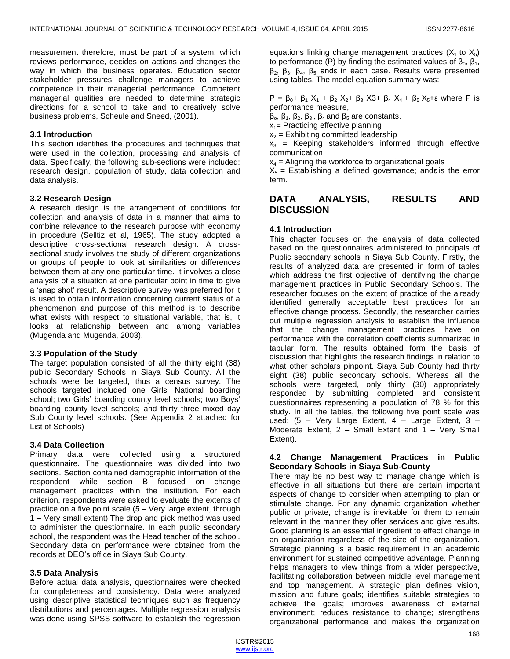measurement therefore, must be part of a system, which reviews performance, decides on actions and changes the way in which the business operates. Education sector stakeholder pressures challenge managers to achieve competence in their managerial performance. Competent managerial qualities are needed to determine strategic directions for a school to take and to creatively solve business problems, Scheule and Sneed, (2001).

# **3.1 Introduction**

This section identifies the procedures and techniques that were used in the collection, processing and analysis of data. Specifically, the following sub-sections were included: research design, population of study, data collection and data analysis.

# **3.2 Research Design**

A research design is the arrangement of conditions for collection and analysis of data in a manner that aims to combine relevance to the research purpose with economy in procedure (Selltiz et al, 1965). The study adopted a descriptive cross-sectional research design. A crosssectional study involves the study of different organizations or groups of people to look at similarities or differences between them at any one particular time. It involves a close analysis of a situation at one particular point in time to give a 'snap shot' result. A descriptive survey was preferred for it is used to obtain information concerning current status of a phenomenon and purpose of this method is to describe what exists with respect to situational variable, that is, it looks at relationship between and among variables (Mugenda and Mugenda, 2003).

#### **3.3 Population of the Study**

The target population consisted of all the thirty eight (38) public Secondary Schools in Siaya Sub County. All the schools were be targeted, thus a census survey. The schools targeted included one Girls' National boarding school; two Girls' boarding county level schools; two Boys' boarding county level schools; and thirty three mixed day Sub County level schools. (See Appendix 2 attached for List of Schools)

# **3.4 Data Collection**

Primary data were collected using a structured questionnaire. The questionnaire was divided into two sections. Section contained demographic information of the respondent while section B focused on change management practices within the institution. For each criterion, respondents were asked to evaluate the extents of practice on a five point scale (5 – Very large extent, through 1 – Very small extent).The drop and pick method was used to administer the questionnaire. In each public secondary school, the respondent was the Head teacher of the school. Secondary data on performance were obtained from the records at DEO's office in Siaya Sub County.

# **3.5 Data Analysis**

Before actual data analysis, questionnaires were checked for completeness and consistency. Data were analyzed using descriptive statistical techniques such as frequency distributions and percentages. Multiple regression analysis was done using SPSS software to establish the regression equations linking change management practices  $(X_1$  to  $X_5)$ to performance (P) by finding the estimated values of  $\beta_0$ ,  $\beta_1$ ,  $β_2$ ,  $β_3$ ,  $β_4$ ,  $β_5$  andε in each case. Results were presented using tables. The model equation summary was:

 $P = \beta_0 + \beta_1 X_1 + \beta_2 X_2 + \beta_3 X_3 + \beta_4 X_4 + \beta_5 X_5 + \epsilon$  where P is performance measure,

 $\beta_0$ ,  $\beta_1$ ,  $\beta_2$ ,  $\beta_3$ ,  $\beta_4$  and  $\beta_5$  are constants.

 $x_1$ = Practicing effective planning

 $x_2$  = Exhibiting committed leadership

 $x_3$  = Keeping stakeholders informed through effective communication

 $x_4$  = Aligning the workforce to organizational goals

 $X<sub>5</sub>$  = Establishing a defined governance; ande is the error term.

# **DATA ANALYSIS, RESULTS AND DISCUSSION**

# **4.1 Introduction**

This chapter focuses on the analysis of data collected based on the questionnaires administered to principals of Public secondary schools in Siaya Sub County. Firstly, the results of analyzed data are presented in form of tables which address the first objective of identifying the change management practices in Public Secondary Schools. The researcher focuses on the extent of practice of the already identified generally acceptable best practices for an effective change process. Secondly, the researcher carries out multiple regression analysis to establish the influence that the change management practices have on performance with the correlation coefficients summarized in tabular form. The results obtained form the basis of discussion that highlights the research findings in relation to what other scholars pinpoint. Siaya Sub County had thirty eight (38) public secondary schools. Whereas all the schools were targeted, only thirty (30) appropriately responded by submitting completed and consistent questionnaires representing a population of 78 % for this study. In all the tables, the following five point scale was used: (5 – Very Large Extent, 4 – Large Extent, 3 – Moderate Extent, 2 – Small Extent and 1 – Very Small Extent).

#### **4.2 Change Management Practices in Public Secondary Schools in Siaya Sub-County**

There may be no best way to manage change which is effective in all situations but there are certain important aspects of change to consider when attempting to plan or stimulate change. For any dynamic organization whether public or private, change is inevitable for them to remain relevant in the manner they offer services and give results. Good planning is an essential ingredient to effect change in an organization regardless of the size of the organization. Strategic planning is a basic requirement in an academic environment for sustained competitive advantage. Planning helps managers to view things from a wider perspective, facilitating collaboration between middle level management and top management. A strategic plan defines vision, mission and future goals; identifies suitable strategies to achieve the goals; improves awareness of external environment; reduces resistance to change; strengthens organizational performance and makes the organization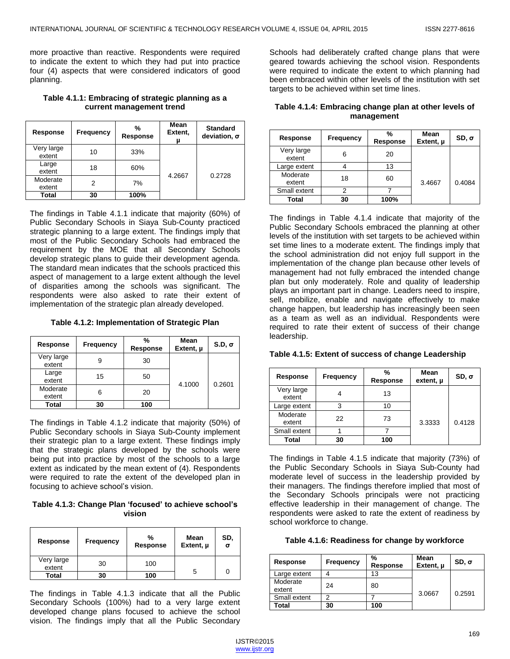more proactive than reactive. Respondents were required to indicate the extent to which they had put into practice four (4) aspects that were considered indicators of good planning.

# **Table 4.1.1: Embracing of strategic planning as a current management trend**

| Response             | Frequency | %<br>Response | <b>Mean</b><br>Extent,<br>u | <b>Standard</b><br>deviation, $\sigma$ |
|----------------------|-----------|---------------|-----------------------------|----------------------------------------|
| Very large<br>extent | 10        | 33%           | 4.2667                      |                                        |
| Large<br>extent      | 18        | 60%           |                             | 0.2728                                 |
| Moderate<br>extent   | 2         | 7%            |                             |                                        |
| Total                | 30        | 100%          |                             |                                        |

The findings in Table 4.1.1 indicate that majority (60%) of Public Secondary Schools in Siaya Sub-County practiced strategic planning to a large extent. The findings imply that most of the Public Secondary Schools had embraced the requirement by the MOE that all Secondary Schools develop strategic plans to guide their development agenda. The standard mean indicates that the schools practiced this aspect of management to a large extent although the level of disparities among the schools was significant. The respondents were also asked to rate their extent of implementation of the strategic plan already developed.

**Table 4.1.2: Implementation of Strategic Plan**

| Response             | Frequency | %<br><b>Response</b> | Mean<br>Extent, $\mu$ | $S.D. \sigma$ |
|----------------------|-----------|----------------------|-----------------------|---------------|
| Very large<br>extent | 9         | 30                   |                       |               |
| Large<br>extent      | 15        | 50                   | 4.1000                | 0.2601        |
| Moderate<br>extent   | 6         | 20                   |                       |               |
| Total                | 30        | 100                  |                       |               |

The findings in Table 4.1.2 indicate that majority (50%) of Public Secondary schools in Siaya Sub-County implement their strategic plan to a large extent. These findings imply that the strategic plans developed by the schools were being put into practice by most of the schools to a large extent as indicated by the mean extent of (4). Respondents were required to rate the extent of the developed plan in focusing to achieve school's vision.

**Table 4.1.3: Change Plan 'focused' to achieve school's vision**

| Response             | <b>Frequency</b> | %<br><b>Response</b> | Mean<br>Extent, $\mu$ | SD,<br>σ |
|----------------------|------------------|----------------------|-----------------------|----------|
| Very large<br>extent | 30               | 100                  |                       | 0        |
| Total                | 30               | 100                  | 5                     |          |

The findings in Table 4.1.3 indicate that all the Public Secondary Schools (100%) had to a very large extent developed change plans focused to achieve the school vision. The findings imply that all the Public Secondary

Schools had deliberately crafted change plans that were geared towards achieving the school vision. Respondents were required to indicate the extent to which planning had been embraced within other levels of the institution with set targets to be achieved within set time lines.

| Table 4.1.4: Embracing change plan at other levels of |
|-------------------------------------------------------|
| management                                            |

| Response             | Frequency | %<br>Response | Mean<br>Extent, µ | $SD, \sigma$ |
|----------------------|-----------|---------------|-------------------|--------------|
| Very large<br>extent | 6         | 20            |                   |              |
| Large extent         |           | 13            |                   |              |
| Moderate<br>extent   | 18        | 60            | 3.4667            | 0.4084       |
| Small extent         | 2         |               |                   |              |
| Total                | 30        | 100%          |                   |              |

The findings in Table 4.1.4 indicate that majority of the Public Secondary Schools embraced the planning at other levels of the institution with set targets to be achieved within set time lines to a moderate extent. The findings imply that the school administration did not enjoy full support in the implementation of the change plan because other levels of management had not fully embraced the intended change plan but only moderately. Role and quality of leadership plays an important part in change. Leaders need to inspire, sell, mobilize, enable and navigate effectively to make change happen, but leadership has increasingly been seen as a team as well as an individual. Respondents were required to rate their extent of success of their change leadership.

| <b>Response</b>      | Frequency | %<br><b>Response</b> | Mean<br>extent, µ | $SD, \sigma$ |
|----------------------|-----------|----------------------|-------------------|--------------|
| Very large<br>extent |           | 13                   |                   |              |
| Large extent         | 3         | 10                   |                   |              |
| Moderate<br>extent   | 22        | 73                   | 3.3333            | 0.4128       |
| Small extent         |           |                      |                   |              |
| Total                | 30        | 100                  |                   |              |

#### **Table 4.1.5: Extent of success of change Leadership**

The findings in Table 4.1.5 indicate that majority (73%) of the Public Secondary Schools in Siaya Sub-County had moderate level of success in the leadership provided by their managers. The findings therefore implied that most of the Secondary Schools principals were not practicing effective leadership in their management of change. The respondents were asked to rate the extent of readiness by school workforce to change.

|  |  |  | Table 4.1.6: Readiness for change by workforce |
|--|--|--|------------------------------------------------|
|--|--|--|------------------------------------------------|

| Response           | <b>Frequency</b> | %<br>Response | Mean<br>Extent, u | $SD, \sigma$ |
|--------------------|------------------|---------------|-------------------|--------------|
| Large extent       |                  | 13            |                   |              |
| Moderate<br>extent | 24               | 80            |                   | 0.2591       |
| Small extent       | ◠                |               | 3.0667            |              |
| Total              | 30               | 100           |                   |              |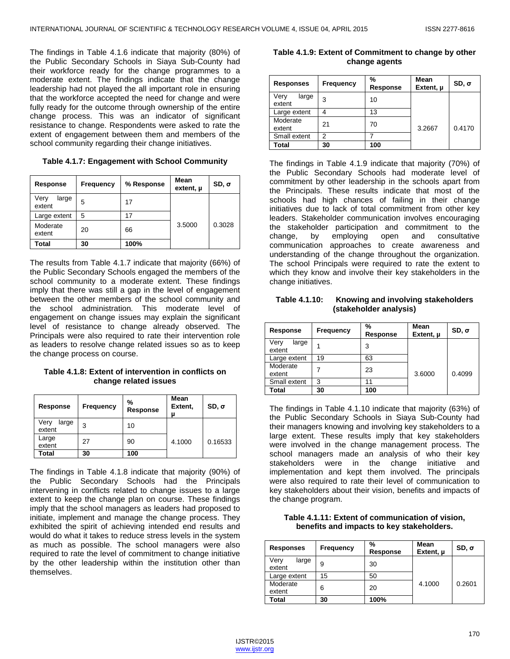The findings in Table 4.1.6 indicate that majority (80%) of the Public Secondary Schools in Siaya Sub-County had their workforce ready for the change programmes to a moderate extent. The findings indicate that the change leadership had not played the all important role in ensuring that the workforce accepted the need for change and were fully ready for the outcome through ownership of the entire change process. This was an indicator of significant resistance to change. Respondents were asked to rate the extent of engagement between them and members of the school community regarding their change initiatives.

**Table 4.1.7: Engagement with School Community**

| <b>Response</b>         | Frequency | % Response | Mean<br>$extent$ , $\mu$ | $SD, \sigma$ |
|-------------------------|-----------|------------|--------------------------|--------------|
| Very<br>large<br>extent | 5         | 17         |                          |              |
| Large extent            | 5         | 17         |                          |              |
| Moderate<br>extent      | 20        | 66         | 3.5000                   | 0.3028       |
| <b>Total</b>            | 30        | 100%       |                          |              |

The results from Table 4.1.7 indicate that majority (66%) of the Public Secondary Schools engaged the members of the school community to a moderate extent. These findings imply that there was still a gap in the level of engagement between the other members of the school community and the school administration. This moderate level of engagement on change issues may explain the significant level of resistance to change already observed. The Principals were also required to rate their intervention role as leaders to resolve change related issues so as to keep the change process on course.

**Table 4.1.8: Extent of intervention in conflicts on change related issues**

| Response                | Frequency | %<br>Response | Mean<br>Extent,<br>่ม | $SD, \sigma$ |
|-------------------------|-----------|---------------|-----------------------|--------------|
| Very<br>large<br>extent | 3         | 10            |                       |              |
| Large<br>extent         | 27        | 90            | 4.1000                | 0.16533      |
| Total                   | 30        | 100           |                       |              |

The findings in Table 4.1.8 indicate that majority (90%) of the Public Secondary Schools had the Principals intervening in conflicts related to change issues to a large extent to keep the change plan on course. These findings imply that the school managers as leaders had proposed to initiate, implement and manage the change process. They exhibited the spirit of achieving intended end results and would do what it takes to reduce stress levels in the system as much as possible. The school managers were also required to rate the level of commitment to change initiative by the other leadership within the institution other than themselves.

| change agents    |       |                  |               |                   |              |
|------------------|-------|------------------|---------------|-------------------|--------------|
| <b>Responses</b> |       | <b>Frequency</b> | %<br>Response | Mean<br>Extent, u | $SD, \sigma$ |
| Verv             | large | ◠                |               |                   |              |

**Table 4.1.9: Extent of Commitment to change by other**

|                         |    |     | . .    |        |
|-------------------------|----|-----|--------|--------|
| Very<br>large<br>extent | 3  | 10  |        |        |
| Large extent            |    | 13  |        |        |
| Moderate<br>extent      | 21 | 70  | 3.2667 | 0.4170 |
| Small extent            | ◠  |     |        |        |
| Total                   | 30 | 100 |        |        |

The findings in Table 4.1.9 indicate that majority (70%) of the Public Secondary Schools had moderate level of commitment by other leadership in the schools apart from the Principals. These results indicate that most of the schools had high chances of failing in their change initiatives due to lack of total commitment from other key leaders. Stakeholder communication involves encouraging the stakeholder participation and commitment to the change, by employing open and consultative communication approaches to create awareness and understanding of the change throughout the organization. The school Principals were required to rate the extent to which they know and involve their key stakeholders in the change initiatives.

**Table 4.1.10: Knowing and involving stakeholders (stakeholder analysis)**

| Response                | Frequency | %<br><b>Response</b> | Mean<br>Extent, µ | $SD, \sigma$ |
|-------------------------|-----------|----------------------|-------------------|--------------|
| Very<br>large<br>extent | 1         | 3                    |                   |              |
| Large extent            | 19        | 63                   |                   |              |
| Moderate<br>extent      |           | 23                   | 3.6000            | 0.4099       |
| Small extent            | 3         | 11                   |                   |              |
| Total                   | 30        | 100                  |                   |              |

The findings in Table 4.1.10 indicate that majority (63%) of the Public Secondary Schools in Siaya Sub-County had their managers knowing and involving key stakeholders to a large extent. These results imply that key stakeholders were involved in the change management process. The school managers made an analysis of who their key stakeholders were in the change initiative and implementation and kept them involved. The principals were also required to rate their level of communication to key stakeholders about their vision, benefits and impacts of the change program.

**Table 4.1.11: Extent of communication of vision, benefits and impacts to key stakeholders.**

| <b>Responses</b>        | <b>Frequency</b> | %<br>Response | Mean<br>Extent, µ | $SD, \sigma$ |
|-------------------------|------------------|---------------|-------------------|--------------|
| Very<br>large<br>extent | 9                | 30            |                   |              |
| Large extent            | 15               | 50            |                   |              |
| Moderate<br>extent      | 6                | 20            | 4.1000            | 0.2601       |
| Total                   | 30               | 100%          |                   |              |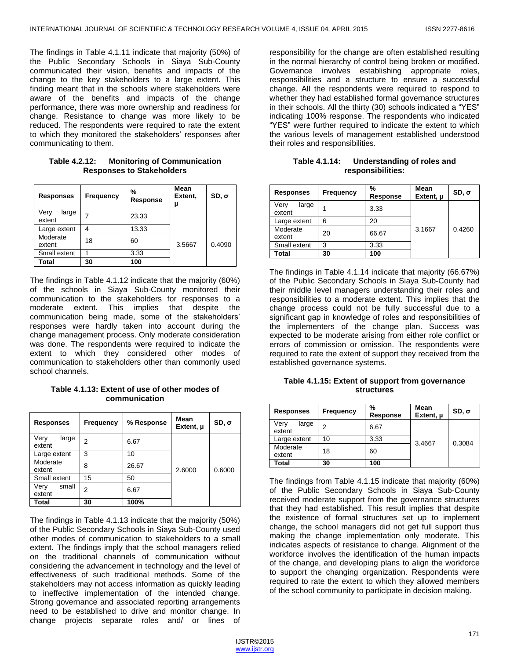The findings in Table 4.1.11 indicate that majority (50%) of the Public Secondary Schools in Siaya Sub-County communicated their vision, benefits and impacts of the change to the key stakeholders to a large extent. This finding meant that in the schools where stakeholders were aware of the benefits and impacts of the change performance, there was more ownership and readiness for change. Resistance to change was more likely to be reduced. The respondents were required to rate the extent to which they monitored the stakeholders' responses after communicating to them.

| <b>Responses</b>        | <b>Frequency</b> | %<br><b>Response</b> | Mean<br>Extent,<br>μ | $SD, \sigma$ |
|-------------------------|------------------|----------------------|----------------------|--------------|
| Very<br>large<br>extent |                  | 23.33                |                      |              |
| Large extent            | 4                | 13.33                |                      |              |
| Moderate<br>extent      | 18               | 60                   | 3.5667               | 0.4090       |
| Small extent            |                  | 3.33                 |                      |              |
| Total                   | 30               | 100                  |                      |              |

**Table 4.2.12: Monitoring of Communication Responses to Stakeholders**

The findings in Table 4.1.12 indicate that the majority (60%) of the schools in Siaya Sub-County monitored their communication to the stakeholders for responses to a moderate extent. This implies that despite the communication being made, some of the stakeholders' responses were hardly taken into account during the change management process. Only moderate consideration was done. The respondents were required to indicate the extent to which they considered other modes of communication to stakeholders other than commonly used school channels.

**Table 4.1.13: Extent of use of other modes of communication**

| <b>Responses</b>        | <b>Frequency</b> | % Response | Mean<br>Extent, $\mu$ | $SD, \sigma$ |
|-------------------------|------------------|------------|-----------------------|--------------|
| Verv<br>large<br>extent | 2                | 6.67       |                       |              |
| Large extent            | 3                | 10         | 2.6000                | 0.6000       |
| Moderate<br>extent      | 8                | 26.67      |                       |              |
| Small extent            | 15               | 50         |                       |              |
| small<br>Very<br>extent | 2                | 6.67       |                       |              |
| Total                   | 30               | 100%       |                       |              |

The findings in Table 4.1.13 indicate that the majority (50%) of the Public Secondary Schools in Siaya Sub-County used other modes of communication to stakeholders to a small extent. The findings imply that the school managers relied on the traditional channels of communication without considering the advancement in technology and the level of effectiveness of such traditional methods. Some of the stakeholders may not access information as quickly leading to ineffective implementation of the intended change. Strong governance and associated reporting arrangements need to be established to drive and monitor change. In change projects separate roles and/ or lines of

responsibility for the change are often established resulting in the normal hierarchy of control being broken or modified. Governance involves establishing appropriate roles, responsibilities and a structure to ensure a successful change. All the respondents were required to respond to whether they had established formal governance structures in their schools. All the thirty (30) schools indicated a "YES" indicating 100% response. The respondents who indicated "YES" were further required to indicate the extent to which the various levels of management established understood their roles and responsibilities.

**Table 4.1.14: Understanding of roles and responsibilities:**

| <b>Responses</b>        | <b>Frequency</b> | %<br>Response | Mean<br>Extent, $\mu$ | $SD, \sigma$ |
|-------------------------|------------------|---------------|-----------------------|--------------|
| Very<br>large<br>extent |                  | 3.33          |                       |              |
| Large extent            | 6                | 20            |                       |              |
| Moderate<br>extent      | 20               | 66.67         | 3.1667                | 0.4260       |
| Small extent            | 3                | 3.33          |                       |              |
| Total                   | 30               | 100           |                       |              |

The findings in Table 4.1.14 indicate that majority (66.67%) of the Public Secondary Schools in Siaya Sub-County had their middle level managers understanding their roles and responsibilities to a moderate extent. This implies that the change process could not be fully successful due to a significant gap in knowledge of roles and responsibilities of the implementers of the change plan. Success was expected to be moderate arising from either role conflict or errors of commission or omission. The respondents were required to rate the extent of support they received from the established governance systems.

**Table 4.1.15: Extent of support from governance structures**

| <b>Responses</b>        | <b>Frequency</b> | %<br>Response | Mean<br>Extent, µ | $SD, \sigma$ |
|-------------------------|------------------|---------------|-------------------|--------------|
| Very<br>large<br>extent | 2                | 6.67          |                   |              |
| Large extent            | 10               | 3.33          | 3.4667            | 0.3084       |
| Moderate<br>extent      | 18               | 60            |                   |              |
| Total                   | 30               | 100           |                   |              |

The findings from Table 4.1.15 indicate that majority (60%) of the Public Secondary Schools in Siaya Sub-County received moderate support from the governance structures that they had established. This result implies that despite the existence of formal structures set up to implement change, the school managers did not get full support thus making the change implementation only moderate. This indicates aspects of resistance to change. Alignment of the workforce involves the identification of the human impacts of the change, and developing plans to align the workforce to support the changing organization. Respondents were required to rate the extent to which they allowed members of the school community to participate in decision making.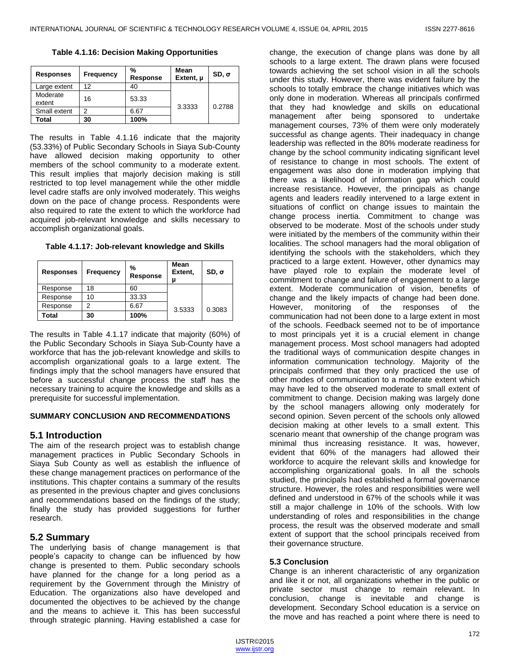**Table 4.1.16: Decision Making Opportunities**

| <b>Responses</b>   | <b>Frequency</b> | %<br>Response | Mean<br>Extent, µ | $SD, \sigma$ |
|--------------------|------------------|---------------|-------------------|--------------|
| Large extent       | 12               | 40            |                   |              |
| Moderate<br>extent | 16               | 53.33         | 3.3333            | 0.2788       |
| Small extent       | າ                | 6.67          |                   |              |
| Total              | 30               | 100%          |                   |              |

The results in Table 4.1.16 indicate that the majority (53.33%) of Public Secondary Schools in Siaya Sub-County have allowed decision making opportunity to other members of the school community to a moderate extent. This result implies that majorly decision making is still restricted to top level management while the other middle level cadre staffs are only involved moderately. This weighs down on the pace of change process. Respondents were also required to rate the extent to which the workforce had acquired job-relevant knowledge and skills necessary to accomplish organizational goals.

**Table 4.1.17: Job-relevant knowledge and Skills**

| <b>Responses</b> | <b>Frequency</b> | %<br>Response | Mean<br>Extent,<br>u | $SD, \sigma$ |
|------------------|------------------|---------------|----------------------|--------------|
| Response         | 18               | 60            |                      |              |
| Response         | 10               | 33.33         |                      |              |
| Response         | 2                | 6.67          | 3.5333               | 0.3083       |
| Total            | 30               | 100%          |                      |              |

The results in Table 4.1.17 indicate that majority (60%) of the Public Secondary Schools in Siaya Sub-County have a workforce that has the job-relevant knowledge and skills to accomplish organizational goals to a large extent. The findings imply that the school managers have ensured that before a successful change process the staff has the necessary training to acquire the knowledge and skills as a prerequisite for successful implementation.

#### **SUMMARY CONCLUSION AND RECOMMENDATIONS**

# **5.1 Introduction**

The aim of the research project was to establish change management practices in Public Secondary Schools in Siaya Sub County as well as establish the influence of these change management practices on performance of the institutions. This chapter contains a summary of the results as presented in the previous chapter and gives conclusions and recommendations based on the findings of the study; finally the study has provided suggestions for further research.

# **5.2 Summary**

The underlying basis of change management is that people's capacity to change can be influenced by how change is presented to them. Public secondary schools have planned for the change for a long period as a requirement by the Government through the Ministry of Education. The organizations also have developed and documented the objectives to be achieved by the change and the means to achieve it. This has been successful through strategic planning. Having established a case for

change, the execution of change plans was done by all schools to a large extent. The drawn plans were focused towards achieving the set school vision in all the schools under this study. However, there was evident failure by the schools to totally embrace the change initiatives which was only done in moderation. Whereas all principals confirmed that they had knowledge and skills on educational management after being sponsored to undertake management courses, 73% of them were only moderately successful as change agents. Their inadequacy in change leadership was reflected in the 80% moderate readiness for change by the school community indicating significant level of resistance to change in most schools. The extent of engagement was also done in moderation implying that there was a likelihood of information gap which could increase resistance. However, the principals as change agents and leaders readily intervened to a large extent in situations of conflict on change issues to maintain the change process inertia. Commitment to change was observed to be moderate. Most of the schools under study were initiated by the members of the community within their localities. The school managers had the moral obligation of identifying the schools with the stakeholders, which they practiced to a large extent. However, other dynamics may have played role to explain the moderate level of commitment to change and failure of engagement to a large extent. Moderate communication of vision, benefits of change and the likely impacts of change had been done. However, monitoring of the responses of the communication had not been done to a large extent in most of the schools. Feedback seemed not to be of importance to most principals yet it is a crucial element in change management process. Most school managers had adopted the traditional ways of communication despite changes in information communication technology. Majority of the principals confirmed that they only practiced the use of other modes of communication to a moderate extent which may have led to the observed moderate to small extent of commitment to change. Decision making was largely done by the school managers allowing only moderately for second opinion. Seven percent of the schools only allowed decision making at other levels to a small extent. This scenario meant that ownership of the change program was minimal thus increasing resistance. It was, however, evident that 60% of the managers had allowed their workforce to acquire the relevant skills and knowledge for accomplishing organizational goals. In all the schools studied, the principals had established a formal governance structure. However, the roles and responsibilities were well defined and understood in 67% of the schools while it was still a major challenge in 10% of the schools. With low understanding of roles and responsibilities in the change process, the result was the observed moderate and small extent of support that the school principals received from their governance structure.

#### **5.3 Conclusion**

Change is an inherent characteristic of any organization and like it or not, all organizations whether in the public or private sector must change to remain relevant. In conclusion, change is inevitable and change is development. Secondary School education is a service on the move and has reached a point where there is need to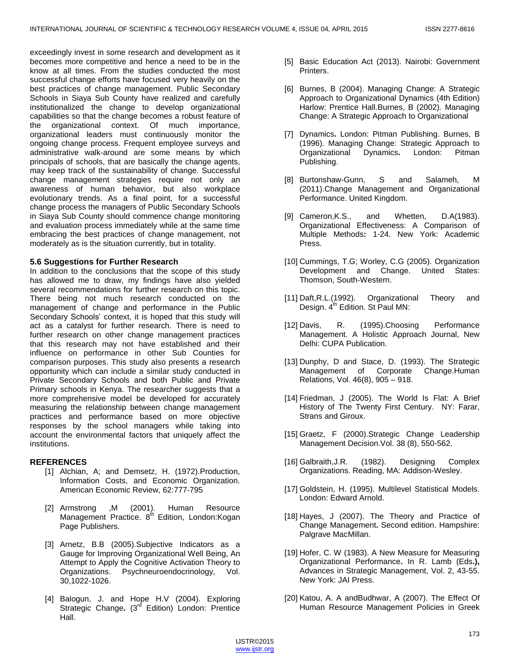exceedingly invest in some research and development as it becomes more competitive and hence a need to be in the know at all times. From the studies conducted the most successful change efforts have focused very heavily on the best practices of change management. Public Secondary Schools in Siaya Sub County have realized and carefully institutionalized the change to develop organizational capabilities so that the change becomes a robust feature of the organizational context. Of much importance, organizational leaders must continuously monitor the ongoing change process. Frequent employee surveys and administrative walk-around are some means by which principals of schools, that are basically the change agents, may keep track of the sustainability of change. Successful change management strategies require not only an awareness of human behavior, but also workplace evolutionary trends. As a final point, for a successful change process the managers of Public Secondary Schools in Siaya Sub County should commence change monitoring and evaluation process immediately while at the same time embracing the best practices of change management, not moderately as is the situation currently, but in totality.

# **5.6 Suggestions for Further Research**

In addition to the conclusions that the scope of this study has allowed me to draw, my findings have also yielded several recommendations for further research on this topic. There being not much research conducted on the management of change and performance in the Public Secondary Schools' context, it is hoped that this study will act as a catalyst for further research. There is need to further research on other change management practices that this research may not have established and their influence on performance in other Sub Counties for comparison purposes. This study also presents a research opportunity which can include a similar study conducted in Private Secondary Schools and both Public and Private Primary schools in Kenya. The researcher suggests that a more comprehensive model be developed for accurately measuring the relationship between change management practices and performance based on more objective responses by the school managers while taking into account the environmental factors that uniquely affect the institutions.

# **REFERENCES**

- [1] Alchian, A; and Demsetz, H. (1972). Production, Information Costs, and Economic Organization. American Economic Review, 62:777-795
- [2] Armstrong ,M (2001). Human Resource Management Practice. 8<sup>th</sup> Edition, London:Kogan Page Publishers.
- [3] Arnetz, B.B (2005).Subjective Indicators as a Gauge for Improving Organizational Well Being, An Attempt to Apply the Cognitive Activation Theory to Organizations. Psychneuroendocrinology, Vol. 30,1022-1026.
- [4] Balogun, J. and Hope H.V (2004). Exploring Strategic Change. (3<sup>rd</sup> Edition) London: Prentice Hall.
- [5] Basic Education Act (2013). Nairobi: Government Printers.
- [6] Burnes, B (2004). Managing Change: A Strategic Approach to Organizational Dynamics (4th Edition) Harlow: Prentice Hall.Burnes, B (2002). Managing Change: A Strategic Approach to Organizational
- [7] Dynamics**.** London: Pitman Publishing. Burnes, B (1996). Managing Change: Strategic Approach to Organizational Dynamics**.** London: Pitman Publishing.
- [8] Burtonshaw-Gunn, S and Salameh, M (2011).Change Management and Organizational Performance. United Kingdom.
- [9] Cameron,K.S., and Whetten, D.A(1983). Organizational Effectiveness: A Comparison of Multiple Methods**:** 1-24. New York: Academic Press.
- [10] Cummings, T.G; Worley, C.G (2005). Organization Development and Change. United States: Thomson, South-Western.
- [11] Daft,R.L.(1992). Organizational Theory and Design.  $4^{\text{th}}$  Edition. St Paul MN:
- [12] Davis, R. (1995). Choosing Performance Management. A Holistic Approach Journal, New Delhi: CUPA Publication.
- [13] Dunphy, D and Stace, D. (1993). The Strategic Management of Corporate Change.Human Relations, Vol. 46(8), 905 – 918.
- [14] Friedman, J (2005). The World Is Flat: A Brief History of The Twenty First Century. NY: Farar, Strans and Giroux.
- [15] Graetz, F (2000).Strategic Change Leadership Management Decision.Vol. 38 (8), 550-562.
- [16] Galbraith,J.R. (1982). Designing Complex Organizations. Reading, MA: Addison-Wesley.
- [17] Goldstein, H. (1995). Multilevel Statistical Models. London: Edward Arnold.
- [18] Hayes, J (2007). The Theory and Practice of Change Management**.** Second edition. Hampshire: Palgrave MacMillan.
- [19] Hofer, C. W (1983). A New Measure for Measuring Organizational Performance**.** In R. Lamb (Eds**.),** Advances in Strategic Management, Vol. 2, 43-55. New York: JAI Press.
- [20] Katou, A. A andBudhwar, A (2007). The Effect Of Human Resource Management Policies in Greek